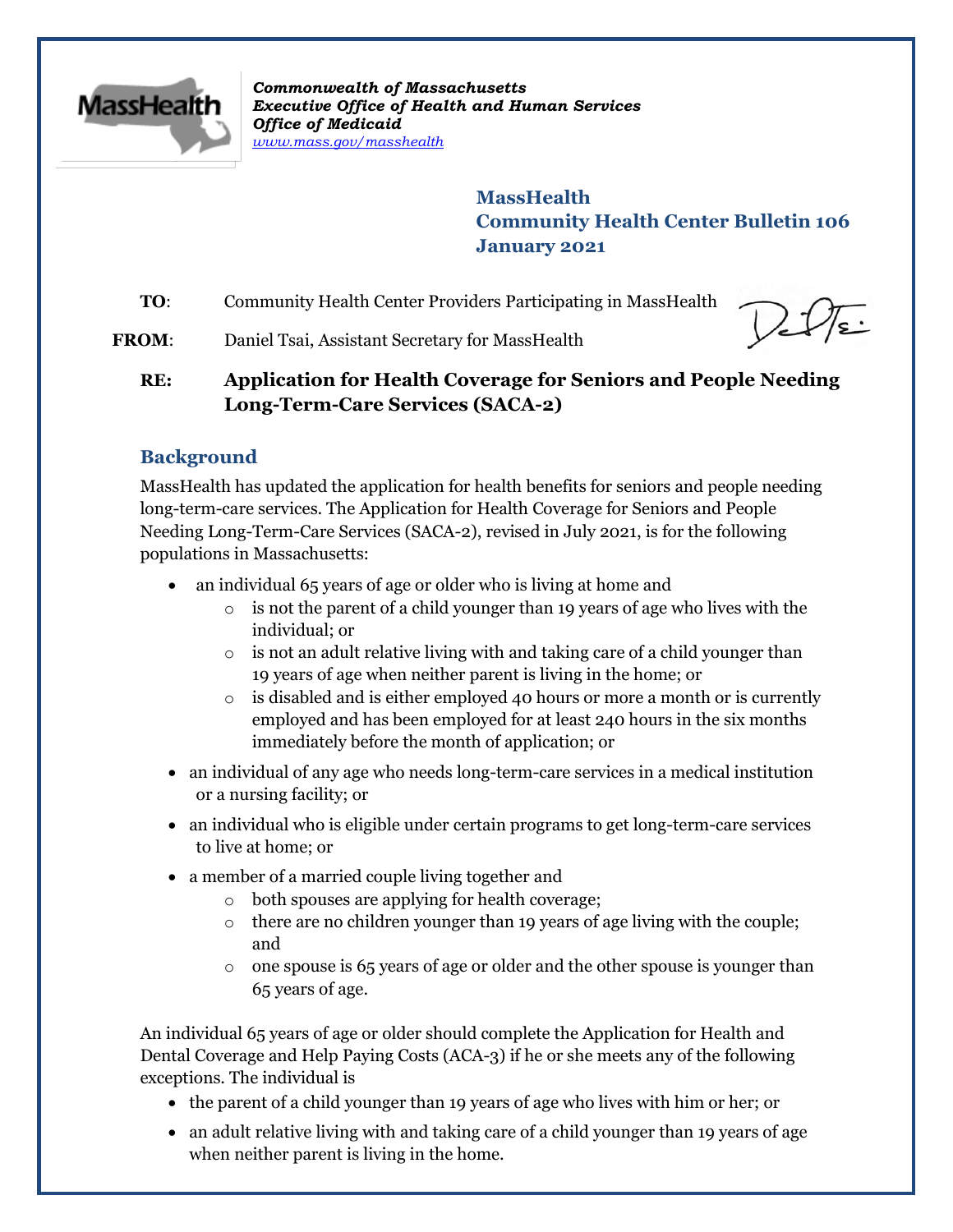

*Commonwealth of Massachusetts Executive Office of Health and Human Services Office of Medicaid [www.mass.gov/masshealth](http://www.mass.gov/masshealth)*

> **MassHealth Community Health Center Bulletin 106 January 2021**

**TO:** Community Health Center Providers Participating in MassHealth

**FROM:** Daniel Tsai, Assistant Secretary for MassHealth

# **RE: Application for Health Coverage for Seniors and People Needing Long-Term-Care Services (SACA-2)**

# **Background**

MassHealth has updated the application for health benefits for seniors and people needing long-term-care services. The Application for Health Coverage for Seniors and People Needing Long-Term-Care Services (SACA-2), revised in July 2021, is for the following populations in Massachusetts:

- an individual 65 years of age or older who is living at home and
	- $\circ$  is not the parent of a child younger than 19 years of age who lives with the individual; or
	- o is not an adult relative living with and taking care of a child younger than 19 years of age when neither parent is living in the home; or
	- $\circ$  is disabled and is either employed 40 hours or more a month or is currently employed and has been employed for at least 240 hours in the six months immediately before the month of application; or
- an individual of any age who needs long-term-care services in a medical institution or a nursing facility; or
- an individual who is eligible under certain programs to get long-term-care services to live at home; or
- a member of a married couple living together and
	- o both spouses are applying for health coverage;
	- o there are no children younger than 19 years of age living with the couple; and
	- o one spouse is 65 years of age or older and the other spouse is younger than 65 years of age.

An individual 65 years of age or older should complete the Application for Health and Dental Coverage and Help Paying Costs (ACA-3) if he or she meets any of the following exceptions. The individual is

- the parent of a child younger than 19 years of age who lives with him or her; or
- an adult relative living with and taking care of a child younger than 19 years of age when neither parent is living in the home.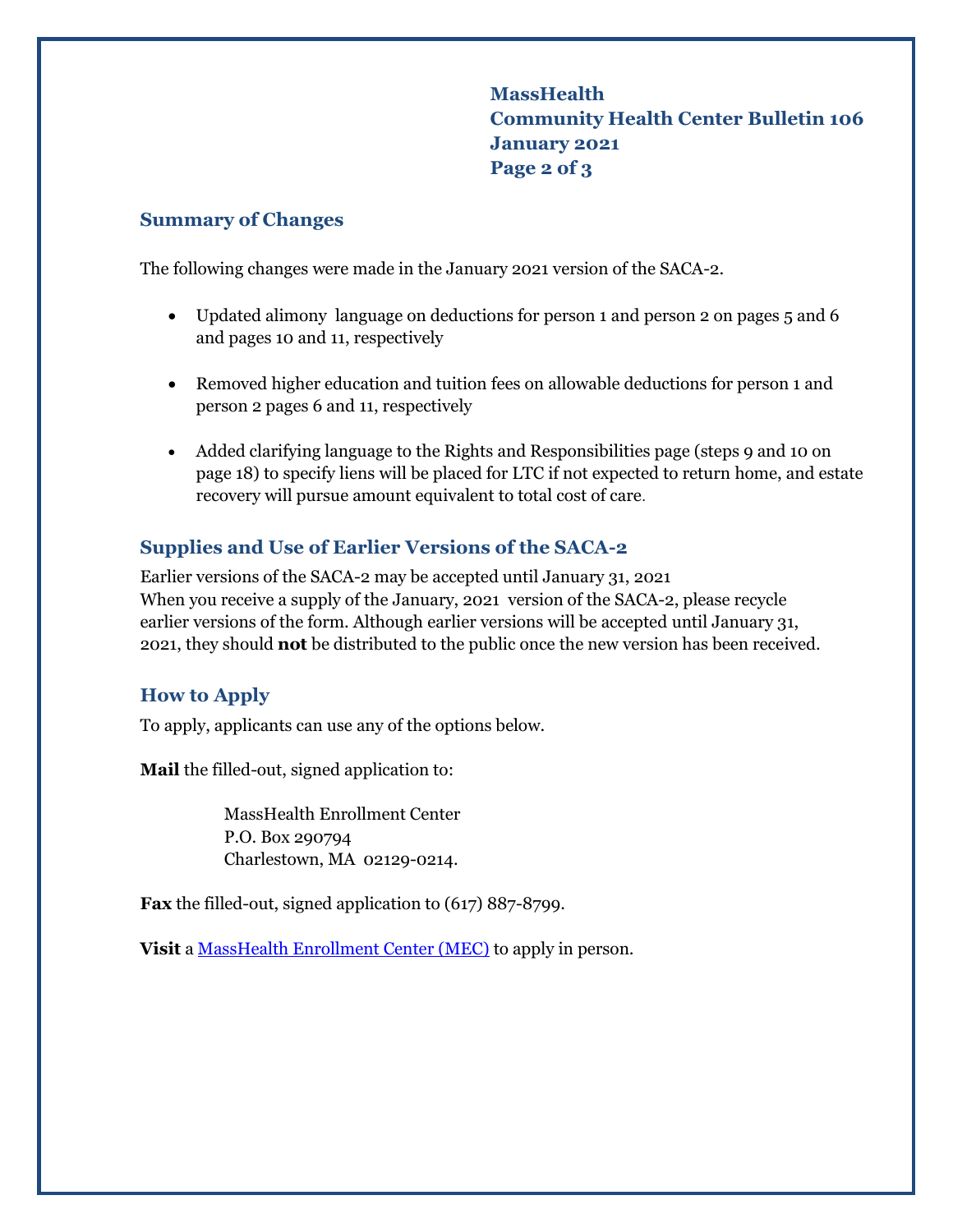**MassHealth Community Health Center Bulletin 106 January 2021 Page 2 of 3**

#### **Summary of Changes**

The following changes were made in the January 2021 version of the SACA-2.

- Updated alimony language on deductions for person 1 and person 2 on pages 5 and 6 and pages 10 and 11, respectively
- Removed higher education and tuition fees on allowable deductions for person 1 and person 2 pages 6 and 11, respectively
- Added clarifying language to the Rights and Responsibilities page (steps 9 and 10 on page 18) to specify liens will be placed for LTC if not expected to return home, and estate recovery will pursue amount equivalent to total cost of care.

## **Supplies and Use of Earlier Versions of the SACA-2**

Earlier versions of the SACA-2 may be accepted until January 31, 2021 When you receive a supply of the January, 2021 version of the SACA-2, please recycle earlier versions of the form. Although earlier versions will be accepted until January 31, 2021, they should **not** be distributed to the public once the new version has been received.

### **How to Apply**

To apply, applicants can use any of the options below.

**Mail** the filled-out, signed application to:

MassHealth Enrollment Center P.O. Box 290794 Charlestown, MA 02129-0214.

**Fax** the filled-out, signed application to (617) 887-8799.

**Visit** a [MassHealth Enrollment Center \(MEC\)](https://www.mass.gov/service-details/masshealth-enrollment-centers-mecs) to apply in person.